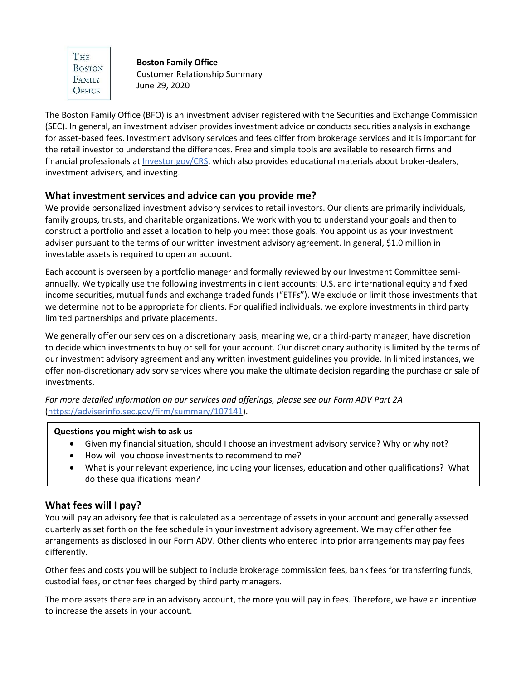THE **BOSTON** FAMILY OFFICE

**Boston Family Office** Customer Relationship Summary June 29, 2020

The Boston Family Office (BFO) is an investment adviser registered with the Securities and Exchange Commission (SEC). In general, an investment adviser provides investment advice or conducts securities analysis in exchange for asset-based fees. Investment advisory services and fees differ from brokerage services and it is important for the retail investor to understand the differences. Free and simple tools are available to research firms and financial professionals at [Investor.gov/CRS,](http://investor.gov/crs) which also provides educational materials about broker-dealers, investment advisers, and investing.

## **What investment services and advice can you provide me?**

We provide personalized investment advisory services to retail investors. Our clients are primarily individuals, family groups, trusts, and charitable organizations. We work with you to understand your goals and then to construct a portfolio and asset allocation to help you meet those goals. You appoint us as your investment adviser pursuant to the terms of our written investment advisory agreement. In general, \$1.0 million in investable assets is required to open an account.

Each account is overseen by a portfolio manager and formally reviewed by our Investment Committee semiannually. We typically use the following investments in client accounts: U.S. and international equity and fixed income securities, mutual funds and exchange traded funds ("ETFs"). We exclude or limit those investments that we determine not to be appropriate for clients. For qualified individuals, we explore investments in third party limited partnerships and private placements.

We generally offer our services on a discretionary basis, meaning we, or a third-party manager, have discretion to decide which investments to buy or sell for your account. Our discretionary authority is limited by the terms of our investment advisory agreement and any written investment guidelines you provide. In limited instances, we offer non-discretionary advisory services where you make the ultimate decision regarding the purchase or sale of investments.

*For more detailed information on our services and offerings, please see our Form ADV Part 2A* [\(https://adviserinfo.sec.gov/firm/summary/107141\)](https://adviserinfo.sec.gov/firm/summary/107141).

### **Questions you might wish to ask us**

- Given my financial situation, should I choose an investment advisory service? Why or why not?
- How will you choose investments to recommend to me?
- What is your relevant experience, including your licenses, education and other qualifications? What do these qualifications mean?

# **What fees will I pay?**

You will pay an advisory fee that is calculated as a percentage of assets in your account and generally assessed quarterly as set forth on the fee schedule in your investment advisory agreement. We may offer other fee arrangements as disclosed in our Form ADV. Other clients who entered into prior arrangements may pay fees differently.

Other fees and costs you will be subject to include brokerage commission fees, bank fees for transferring funds, custodial fees, or other fees charged by third party managers.

The more assets there are in an advisory account, the more you will pay in fees. Therefore, we have an incentive to increase the assets in your account.